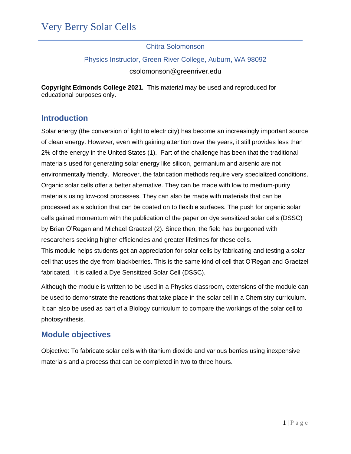#### Chitra Solomonson

#### Physics Instructor, Green River College, Auburn, WA 98092

csolomonson@greenriver.edu

**Copyright Edmonds College 2021.** This material may be used and reproduced for educational purposes only.

### **Introduction**

Solar energy (the conversion of light to electricity) has become an increasingly important source of clean energy. However, even with gaining attention over the years, it still provides less than 2% of the energy in the United States (1). Part of the challenge has been that the traditional materials used for generating solar energy like silicon, germanium and arsenic are not environmentally friendly. Moreover, the fabrication methods require very specialized conditions. Organic solar cells offer a better alternative. They can be made with low to medium-purity materials using low-cost processes. They can also be made with materials that can be processed as a solution that can be coated on to flexible surfaces. The push for organic solar cells gained momentum with the publication of the paper on dye sensitized solar cells (DSSC) by Brian O'Regan and Michael Graetzel (2). Since then, the field has burgeoned with researchers seeking higher efficiencies and greater lifetimes for these cells. This module helps students get an appreciation for solar cells by fabricating and testing a solar cell that uses the dye from blackberries. This is the same kind of cell that O'Regan and Graetzel fabricated. It is called a Dye Sensitized Solar Cell (DSSC).

Although the module is written to be used in a Physics classroom, extensions of the module can be used to demonstrate the reactions that take place in the solar cell in a Chemistry curriculum. It can also be used as part of a Biology curriculum to compare the workings of the solar cell to photosynthesis.

### **Module objectives**

Objective: To fabricate solar cells with titanium dioxide and various berries using inexpensive materials and a process that can be completed in two to three hours.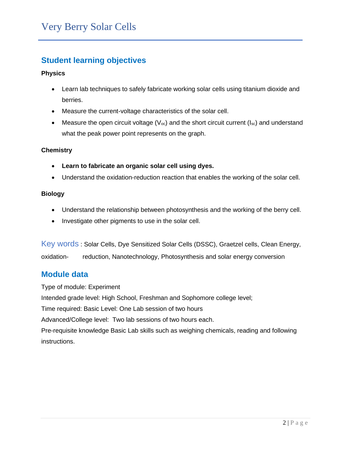### **Student learning objectives**

#### **Physics**

- Learn lab techniques to safely fabricate working solar cells using titanium dioxide and berries.
- Measure the current-voltage characteristics of the solar cell.
- Measure the open circuit voltage ( $V_{\text{oc}}$ ) and the short circuit current ( $I_{\text{sc}}$ ) and understand what the peak power point represents on the graph.

#### **Chemistry**

- **Learn to fabricate an organic solar cell using dyes.**
- Understand the oxidation-reduction reaction that enables the working of the solar cell.

#### **Biology**

- Understand the relationship between photosynthesis and the working of the berry cell.
- Investigate other pigments to use in the solar cell.

Key words : Solar Cells, Dye Sensitized Solar Cells (DSSC), Graetzel cells, Clean Energy, oxidation- reduction, Nanotechnology, Photosynthesis and solar energy conversion

### **Module data**

Type of module: Experiment

Intended grade level: High School, Freshman and Sophomore college level;

Time required: Basic Level: One Lab session of two hours

Advanced/College level: Two lab sessions of two hours each.

Pre-requisite knowledge Basic Lab skills such as weighing chemicals, reading and following instructions.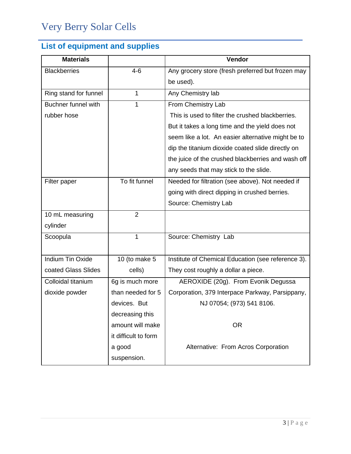# **List of equipment and supplies**

| <b>Materials</b>           |                      | Vendor                                             |  |
|----------------------------|----------------------|----------------------------------------------------|--|
| <b>Blackberries</b>        | $4 - 6$              | Any grocery store (fresh preferred but frozen may  |  |
|                            |                      | be used).                                          |  |
| Ring stand for funnel      | 1                    | Any Chemistry lab                                  |  |
| <b>Buchner funnel with</b> | 1                    | From Chemistry Lab                                 |  |
| rubber hose                |                      | This is used to filter the crushed blackberries.   |  |
|                            |                      | But it takes a long time and the yield does not    |  |
|                            |                      | seem like a lot. An easier alternative might be to |  |
|                            |                      | dip the titanium dioxide coated slide directly on  |  |
|                            |                      | the juice of the crushed blackberries and wash off |  |
|                            |                      | any seeds that may stick to the slide.             |  |
| Filter paper               | To fit funnel        | Needed for filtration (see above). Not needed if   |  |
|                            |                      | going with direct dipping in crushed berries.      |  |
|                            |                      | Source: Chemistry Lab                              |  |
| 10 mL measuring            | $\overline{2}$       |                                                    |  |
| cylinder                   |                      |                                                    |  |
| Scoopula                   | 1                    | Source: Chemistry Lab                              |  |
|                            |                      |                                                    |  |
| <b>Indium Tin Oxide</b>    | 10 (to make 5        | Institute of Chemical Education (see reference 3). |  |
| coated Glass Slides        | cells)               | They cost roughly a dollar a piece.                |  |
| Colloidal titanium         | 6g is much more      | AEROXIDE (20g). From Evonik Degussa                |  |
| dioxide powder             | than needed for 5    | Corporation, 379 Interpace Parkway, Parsippany,    |  |
|                            | devices. But         | NJ 07054; (973) 541 8106.                          |  |
|                            | decreasing this      |                                                    |  |
|                            | amount will make     | <b>OR</b>                                          |  |
|                            | it difficult to form |                                                    |  |
|                            | a good               | Alternative: From Acros Corporation                |  |
|                            | suspension.          |                                                    |  |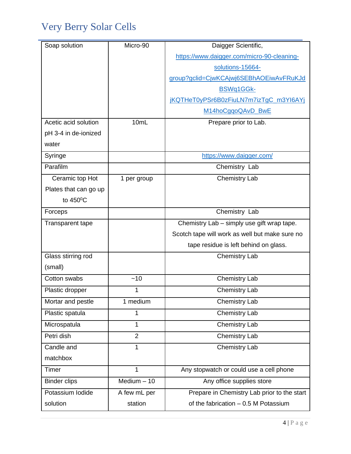| Soap solution         | Micro-90       | Daigger Scientific,                            |  |
|-----------------------|----------------|------------------------------------------------|--|
|                       |                | https://www.daigger.com/micro-90-cleaning-     |  |
|                       |                | solutions-15664-                               |  |
|                       |                | group?gclid=CjwKCAjwj6SEBhAOEiwAvFRuKJd        |  |
|                       |                | BSWq1GGk-                                      |  |
|                       |                | jKQTHeT0yPSr6B0zFiuLN7m7izTgC_m3YI6AYj         |  |
|                       |                | M14hoCggoQAvD_BwE                              |  |
| Acetic acid solution  | 10mL           | Prepare prior to Lab.                          |  |
| pH 3-4 in de-ionized  |                |                                                |  |
| water                 |                |                                                |  |
| Syringe               |                | https://www.daigger.com/                       |  |
| Parafilm              |                | Chemistry Lab                                  |  |
| Ceramic top Hot       | 1 per group    | <b>Chemistry Lab</b>                           |  |
| Plates that can go up |                |                                                |  |
| to $450^{\circ}$ C    |                |                                                |  |
| Forceps               |                | Chemistry Lab                                  |  |
| Transparent tape      |                | Chemistry Lab - simply use gift wrap tape.     |  |
|                       |                | Scotch tape will work as well but make sure no |  |
|                       |                | tape residue is left behind on glass.          |  |
| Glass stirring rod    |                | <b>Chemistry Lab</b>                           |  |
| (small)               |                |                                                |  |
| Cotton swabs          | ~10            | <b>Chemistry Lab</b>                           |  |
| Plastic dropper       | 1              | <b>Chemistry Lab</b>                           |  |
| Mortar and pestle     | 1 medium       | <b>Chemistry Lab</b>                           |  |
| Plastic spatula       | 1              | <b>Chemistry Lab</b>                           |  |
| Microspatula          | 1              | <b>Chemistry Lab</b>                           |  |
| Petri dish            | $\overline{2}$ | Chemistry Lab                                  |  |
| Candle and            | 1              | <b>Chemistry Lab</b>                           |  |
| matchbox              |                |                                                |  |
| Timer                 | 1              | Any stopwatch or could use a cell phone        |  |
| <b>Binder clips</b>   | Medium $-10$   | Any office supplies store                      |  |
| Potassium Iodide      | A few mL per   | Prepare in Chemistry Lab prior to the start    |  |
| solution              | station        | of the fabrication - 0.5 M Potassium           |  |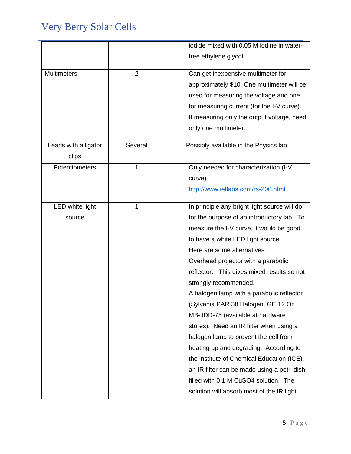|                      |                | iodide mixed with 0.05 M iodine in water-    |
|----------------------|----------------|----------------------------------------------|
|                      |                | free ethylene glycol.                        |
|                      |                |                                              |
| <b>Multimeters</b>   | $\overline{2}$ | Can get inexpensive multimeter for           |
|                      |                | approximately \$10. One multimeter will be   |
|                      |                | used for measuring the voltage and one       |
|                      |                | for measuring current (for the I-V curve).   |
|                      |                | If measuring only the output voltage, need   |
|                      |                | only one multimeter.                         |
|                      |                |                                              |
| Leads with alligator | Several        | Possibly available in the Physics lab.       |
| clips                |                |                                              |
| Potentiometers       | 1              | Only needed for characterization (I-V        |
|                      |                | curve).                                      |
|                      |                | http://www.ietlabs.com/rs-200.html           |
|                      |                |                                              |
| LED white light      | 1              | In principle any bright light source will do |
| source               |                | for the purpose of an introductory lab. To   |
|                      |                | measure the I-V curve, it would be good      |
|                      |                | to have a white LED light source.            |
|                      |                | Here are some alternatives:                  |
|                      |                | Overhead projector with a parabolic          |
|                      |                | reflector. This gives mixed results so not   |
|                      |                | strongly recommended.                        |
|                      |                | A halogen lamp with a parabolic reflector    |
|                      |                | (Sylvania PAR 38 Halogen, GE 12 Or           |
|                      |                | MB-JDR-75 (available at hardware             |
|                      |                | stores). Need an IR filter when using a      |
|                      |                | halogen lamp to prevent the cell from        |
|                      |                | heating up and degrading. According to       |
|                      |                | the institute of Chemical Education (ICE),   |
|                      |                | an IR filter can be made using a petri dish  |
|                      |                | filled with 0.1 M CuSO4 solution. The        |
|                      |                |                                              |
|                      |                | solution will absorb most of the IR light    |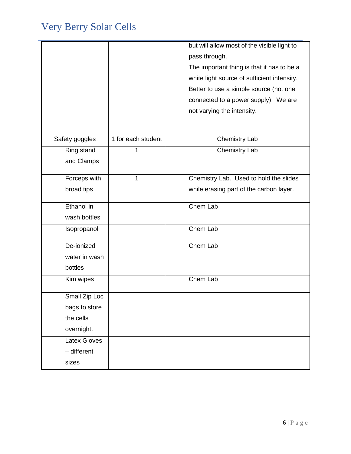|                     |                    | but will allow most of the visible light to |  |
|---------------------|--------------------|---------------------------------------------|--|
|                     |                    | pass through.                               |  |
|                     |                    | The important thing is that it has to be a  |  |
|                     |                    | white light source of sufficient intensity. |  |
|                     |                    | Better to use a simple source (not one      |  |
|                     |                    | connected to a power supply). We are        |  |
|                     |                    | not varying the intensity.                  |  |
|                     |                    |                                             |  |
|                     |                    |                                             |  |
| Safety goggles      | 1 for each student | Chemistry Lab                               |  |
| Ring stand          | 1                  | <b>Chemistry Lab</b>                        |  |
| and Clamps          |                    |                                             |  |
| Forceps with        | 1                  | Chemistry Lab. Used to hold the slides      |  |
| broad tips          |                    | while erasing part of the carbon layer.     |  |
| Ethanol in          |                    | Chem Lab                                    |  |
| wash bottles        |                    |                                             |  |
| Isopropanol         |                    | Chem Lab                                    |  |
| De-ionized          |                    | Chem Lab                                    |  |
| water in wash       |                    |                                             |  |
| bottles             |                    |                                             |  |
| Kim wipes           |                    | Chem Lab                                    |  |
| Small Zip Loc       |                    |                                             |  |
| bags to store       |                    |                                             |  |
| the cells           |                    |                                             |  |
| overnight.          |                    |                                             |  |
| <b>Latex Gloves</b> |                    |                                             |  |
| - different         |                    |                                             |  |
| sizes               |                    |                                             |  |
|                     |                    |                                             |  |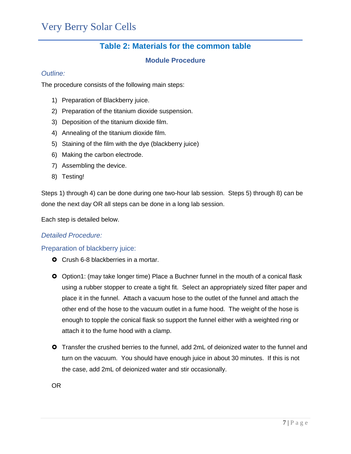### **Table 2: Materials for the common table**

#### **Module Procedure**

#### *Outline:*

The procedure consists of the following main steps:

- 1) Preparation of Blackberry juice.
- 2) Preparation of the titanium dioxide suspension.
- 3) Deposition of the titanium dioxide film.
- 4) Annealing of the titanium dioxide film.
- 5) Staining of the film with the dye (blackberry juice)
- 6) Making the carbon electrode.
- 7) Assembling the device.
- 8) Testing!

Steps 1) through 4) can be done during one two-hour lab session. Steps 5) through 8) can be done the next day OR all steps can be done in a long lab session.

Each step is detailed below.

#### *Detailed Procedure:*

Preparation of blackberry juice:

- **O** Crush 6-8 blackberries in a mortar.
- **O** Option1: (may take longer time) Place a Buchner funnel in the mouth of a conical flask using a rubber stopper to create a tight fit. Select an appropriately sized filter paper and place it in the funnel. Attach a vacuum hose to the outlet of the funnel and attach the other end of the hose to the vacuum outlet in a fume hood. The weight of the hose is enough to topple the conical flask so support the funnel either with a weighted ring or attach it to the fume hood with a clamp.
- Transfer the crushed berries to the funnel, add 2mL of deionized water to the funnel and turn on the vacuum. You should have enough juice in about 30 minutes. If this is not the case, add 2mL of deionized water and stir occasionally.

OR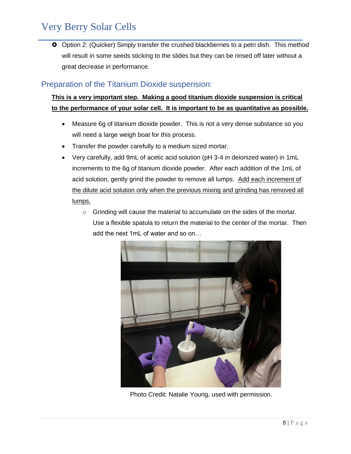**O** Option 2: (Quicker) Simply transfer the crushed blackberries to a petri dish. This method will result in some seeds sticking to the slides but they can be rinsed off later without a great decrease in performance.

### Preparation of the Titanium Dioxide suspension:

### **This is a very important step. Making a good titanium dioxide suspension is critical to the performance of your solar cell. It is important to be as quantitative as possible.**

- Measure 6g of titanium dioxide powder. This is not a very dense substance so you will need a large weigh boat for this process.
- Transfer the powder carefully to a medium sized mortar.
- Very carefully, add 9mL of acetic acid solution (pH 3-4 in deionized water) in 1mL increments to the 6g of titanium dioxide powder. After each addition of the 1mL of acid solution, gently grind the powder to remove all lumps. Add each increment of the dilute acid solution only when the previous mixing and grinding has removed all lumps.
	- o Grinding will cause the material to accumulate on the sides of the mortar. Use a flexible spatula to return the material to the center of the mortar. Then add the next 1mL of water and so on…



Photo Credit: Natalie Young, used with permission.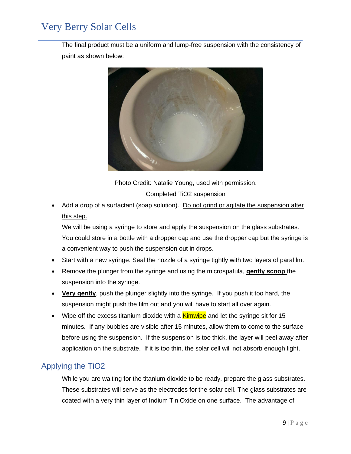The final product must be a uniform and lump-free suspension with the consistency of paint as shown below:



Photo Credit: Natalie Young, used with permission. Completed TiO2 suspension

• Add a drop of a surfactant (soap solution). Do not grind or agitate the suspension after this step.

We will be using a syringe to store and apply the suspension on the glass substrates. You could store in a bottle with a dropper cap and use the dropper cap but the syringe is a convenient way to push the suspension out in drops.

- Start with a new syringe. Seal the nozzle of a syringe tightly with two layers of parafilm.
- Remove the plunger from the syringe and using the microspatula, **gently scoop** the suspension into the syringe.
- **Very gently**, push the plunger slightly into the syringe. If you push it too hard, the suspension might push the film out and you will have to start all over again.
- Wipe off the excess titanium dioxide with a  $\overline{\mathsf{K}^{\mathsf{in}}}$  and let the syringe sit for 15 minutes. If any bubbles are visible after 15 minutes, allow them to come to the surface before using the suspension. If the suspension is too thick, the layer will peel away after application on the substrate. If it is too thin, the solar cell will not absorb enough light.

### Applying the TiO2

While you are waiting for the titanium dioxide to be ready, prepare the glass substrates. These substrates will serve as the electrodes for the solar cell. The glass substrates are coated with a very thin layer of Indium Tin Oxide on one surface. The advantage of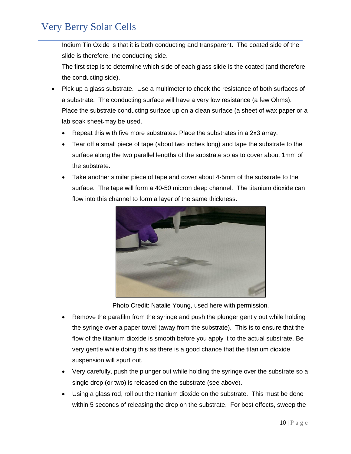Indium Tin Oxide is that it is both conducting and transparent. The coated side of the slide is therefore, the conducting side.

The first step is to determine which side of each glass slide is the coated (and therefore the conducting side).

- Pick up a glass substrate. Use a multimeter to check the resistance of both surfaces of a substrate. The conducting surface will have a very low resistance (a few Ohms). Place the substrate conducting surface up on a clean surface (a sheet of wax paper or a lab soak sheet may be used.
	- Repeat this with five more substrates. Place the substrates in a 2x3 array.
	- Tear off a small piece of tape (about two inches long) and tape the substrate to the surface along the two parallel lengths of the substrate so as to cover about 1mm of the substrate.
	- Take another similar piece of tape and cover about 4-5mm of the substrate to the surface. The tape will form a 40-50 micron deep channel. The titanium dioxide can flow into this channel to form a layer of the same thickness.



Photo Credit: Natalie Young, used here with permission.

- Remove the parafilm from the syringe and push the plunger gently out while holding the syringe over a paper towel (away from the substrate). This is to ensure that the flow of the titanium dioxide is smooth before you apply it to the actual substrate. Be very gentle while doing this as there is a good chance that the titanium dioxide suspension will spurt out.
- Very carefully, push the plunger out while holding the syringe over the substrate so a single drop (or two) is released on the substrate (see above).
- Using a glass rod, roll out the titanium dioxide on the substrate. This must be done within 5 seconds of releasing the drop on the substrate. For best effects, sweep the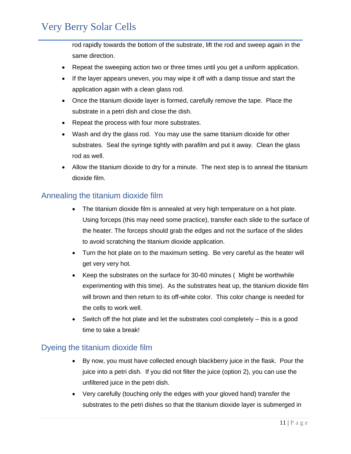rod rapidly towards the bottom of the substrate, lift the rod and sweep again in the same direction.

- Repeat the sweeping action two or three times until you get a uniform application.
- If the layer appears uneven, you may wipe it off with a damp tissue and start the application again with a clean glass rod.
- Once the titanium dioxide layer is formed, carefully remove the tape. Place the substrate in a petri dish and close the dish.
- Repeat the process with four more substrates.
- Wash and dry the glass rod. You may use the same titanium dioxide for other substrates. Seal the syringe tightly with parafilm and put it away. Clean the glass rod as well.
- Allow the titanium dioxide to dry for a minute. The next step is to anneal the titanium dioxide film.

### Annealing the titanium dioxide film

- The titanium dioxide film is annealed at very high temperature on a hot plate. Using forceps (this may need some practice), transfer each slide to the surface of the heater. The forceps should grab the edges and not the surface of the slides to avoid scratching the titanium dioxide application.
- Turn the hot plate on to the maximum setting. Be very careful as the heater will get very very hot.
- Keep the substrates on the surface for 30-60 minutes (Might be worthwhile experimenting with this time). As the substrates heat up, the titanium dioxide film will brown and then return to its off-white color. This color change is needed for the cells to work well.
- Switch off the hot plate and let the substrates cool completely  $-$  this is a good time to take a break!

### Dyeing the titanium dioxide film

- By now, you must have collected enough blackberry juice in the flask. Pour the juice into a petri dish. If you did not filter the juice (option 2), you can use the unfiltered juice in the petri dish.
- Very carefully (touching only the edges with your gloved hand) transfer the substrates to the petri dishes so that the titanium dioxide layer is submerged in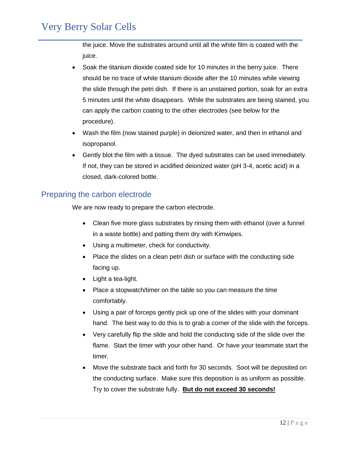the juice. Move the substrates around until all the white film is coated with the juice.

- Soak the titanium dioxide coated side for 10 minutes in the berry juice. There should be no trace of white titanium dioxide after the 10 minutes while viewing the slide through the petri dish. If there is an unstained portion, soak for an extra 5 minutes until the white disappears. While the substrates are being stained, you can apply the carbon coating to the other electrodes (see below for the procedure).
- Wash the film (now stained purple) in deionized water, and then in ethanol and isopropanol.
- Gently blot the film with a tissue. The dyed substrates can be used immediately. If not, they can be stored in acidified deionized water (pH 3-4, acetic acid) in a closed, dark-colored bottle.

### Preparing the carbon electrode

We are now ready to prepare the carbon electrode.

- Clean five more glass substrates by rinsing them with ethanol (over a funnel in a waste bottle) and patting them dry with Kimwipes.
- Using a multimeter, check for conductivity.
- Place the slides on a clean petri dish or surface with the conducting side facing up.
- Light a tea-light.
- Place a stopwatch/timer on the table so you can measure the time comfortably.
- Using a pair of forceps gently pick up one of the slides with your dominant hand. The best way to do this is to grab a corner of the slide with the forceps.
- Very carefully flip the slide and hold the conducting side of the slide over the flame. Start the timer with your other hand. Or have your teammate start the timer.
- Move the substrate back and forth for 30 seconds. Soot will be deposited on the conducting surface. Make sure this deposition is as uniform as possible. Try to cover the substrate fully. **But do not exceed 30 seconds!**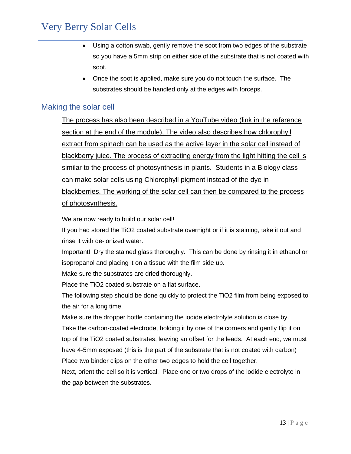- Using a cotton swab, gently remove the soot from two edges of the substrate so you have a 5mm strip on either side of the substrate that is not coated with soot.
- Once the soot is applied, make sure you do not touch the surface. The substrates should be handled only at the edges with forceps.

### Making the solar cell

The process has also been described in a YouTube video (link in the reference section at the end of the module), The video also describes how chlorophyll extract from spinach can be used as the active layer in the solar cell instead of blackberry juice. The process of extracting energy from the light hitting the cell is similar to the process of photosynthesis in plants. Students in a Biology class can make solar cells using Chlorophyll pigment instead of the dye in blackberries. The working of the solar cell can then be compared to the process of photosynthesis.

We are now ready to build our solar cell!

If you had stored the TiO2 coated substrate overnight or if it is staining, take it out and rinse it with de-ionized water.

Important! Dry the stained glass thoroughly. This can be done by rinsing it in ethanol or isopropanol and placing it on a tissue with the film side up.

Make sure the substrates are dried thoroughly.

Place the TiO2 coated substrate on a flat surface.

The following step should be done quickly to protect the TiO2 film from being exposed to the air for a long time.

Make sure the dropper bottle containing the iodide electrolyte solution is close by. Take the carbon-coated electrode, holding it by one of the corners and gently flip it on top of the TiO2 coated substrates, leaving an offset for the leads. At each end, we must have 4-5mm exposed (this is the part of the substrate that is not coated with carbon) Place two binder clips on the other two edges to hold the cell together.

Next, orient the cell so it is vertical. Place one or two drops of the iodide electrolyte in the gap between the substrates.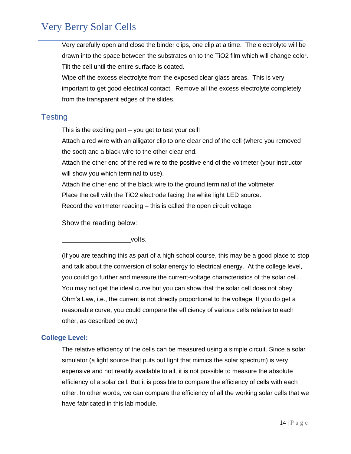Very carefully open and close the binder clips, one clip at a time. The electrolyte will be drawn into the space between the substrates on to the TiO2 film which will change color. Tilt the cell until the entire surface is coated.

Wipe off the excess electrolyte from the exposed clear glass areas. This is very important to get good electrical contact. Remove all the excess electrolyte completely from the transparent edges of the slides.

### **Testing**

This is the exciting part  $-$  you get to test your cell!

Attach a red wire with an alligator clip to one clear end of the cell (where you removed the soot) and a black wire to the other clear end.

Attach the other end of the red wire to the positive end of the voltmeter (your instructor will show you which terminal to use).

Attach the other end of the black wire to the ground terminal of the voltmeter.

Place the cell with the TiO2 electrode facing the white light LED source.

Record the voltmeter reading – this is called the open circuit voltage.

Show the reading below:

volts.

(If you are teaching this as part of a high school course, this may be a good place to stop and talk about the conversion of solar energy to electrical energy. At the college level, you could go further and measure the current-voltage characteristics of the solar cell. You may not get the ideal curve but you can show that the solar cell does not obey Ohm's Law, i.e., the current is not directly proportional to the voltage. If you do get a reasonable curve, you could compare the efficiency of various cells relative to each other, as described below.)

#### **College Level:**

The relative efficiency of the cells can be measured using a simple circuit. Since a solar simulator (a light source that puts out light that mimics the solar spectrum) is very expensive and not readily available to all, it is not possible to measure the absolute efficiency of a solar cell. But it is possible to compare the efficiency of cells with each other. In other words, we can compare the efficiency of all the working solar cells that we have fabricated in this lab module.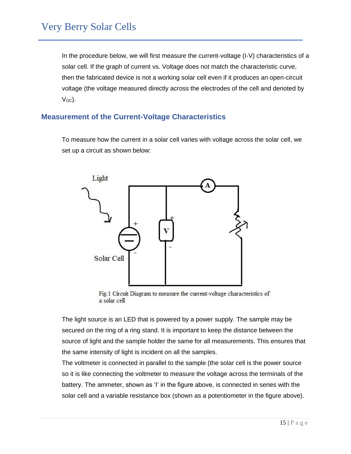In the procedure below, we will first measure the current-voltage (I-V) characteristics of a solar cell. If the graph of current vs. Voltage does not match the characteristic curve, then the fabricated device is not a working solar cell even if it produces an open-circuit voltage (the voltage measured directly across the electrodes of the cell and denoted by  $V_{\rm OC}$ ).

#### **Measurement of the Current-Voltage Characteristics**

To measure how the current in a solar cell varies with voltage across the solar cell, we set up a circuit as shown below:



Fig.1 Circuit Diagram to measure the current-voltage characteristics of a solar cell

The light source is an LED that is powered by a power supply. The sample may be secured on the ring of a ring stand. It is important to keep the distance between the source of light and the sample holder the same for all measurements. This ensures that the same intensity of light is incident on all the samples.

The voltmeter is connected in parallel to the sample (the solar cell is the power source so it is like connecting the voltmeter to measure the voltage across the terminals of the battery. The ammeter, shown as 'I' in the figure above, is connected in series with the solar cell and a variable resistance box (shown as a potentiometer in the figure above).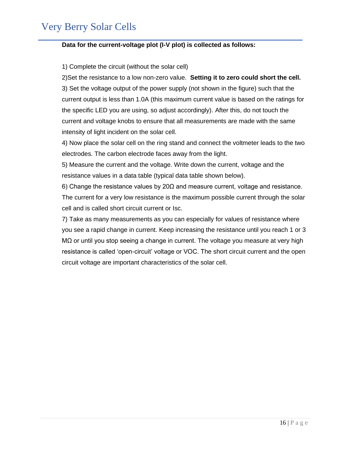#### **Data for the current-voltage plot (I-V plot) is collected as follows:**

1) Complete the circuit (without the solar cell)

2)Set the resistance to a low non-zero value. **Setting it to zero could short the cell.** 3) Set the voltage output of the power supply (not shown in the figure) such that the current output is less than 1.0A (this maximum current value is based on the ratings for the specific LED you are using, so adjust accordingly). After this, do not touch the current and voltage knobs to ensure that all measurements are made with the same intensity of light incident on the solar cell.

4) Now place the solar cell on the ring stand and connect the voltmeter leads to the two electrodes. The carbon electrode faces away from the light.

5) Measure the current and the voltage. Write down the current, voltage and the resistance values in a data table (typical data table shown below).

6) Change the resistance values by 20 $\Omega$  and measure current, voltage and resistance. The current for a very low resistance is the maximum possible current through the solar cell and is called short circuit current or Isc.

7) Take as many measurements as you can especially for values of resistance where you see a rapid change in current. Keep increasing the resistance until you reach 1 or 3  $MΩ$  or until you stop seeing a change in current. The voltage you measure at very high resistance is called 'open-circuit' voltage or VOC. The short circuit current and the open circuit voltage are important characteristics of the solar cell.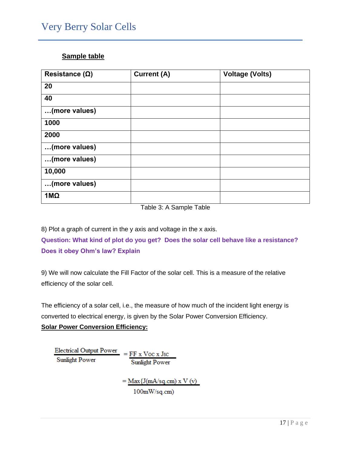#### **Sample table**

| Resistance $(\Omega)$ | <b>Current (A)</b> | <b>Voltage (Volts)</b> |
|-----------------------|--------------------|------------------------|
| 20                    |                    |                        |
| 40                    |                    |                        |
| (more values)         |                    |                        |
| 1000                  |                    |                        |
| 2000                  |                    |                        |
| (more values)         |                    |                        |
| (more values)         |                    |                        |
| 10,000                |                    |                        |
| (more values)         |                    |                        |
| $1M\Omega$            |                    |                        |

Table 3: A Sample Table

8) Plot a graph of current in the y axis and voltage in the x axis.

**Question: What kind of plot do you get? Does the solar cell behave like a resistance? Does it obey Ohm's law? Explain**

9) We will now calculate the Fill Factor of the solar cell. This is a measure of the relative efficiency of the solar cell.

The efficiency of a solar cell, i.e., the measure of how much of the incident light energy is converted to electrical energy, is given by the Solar Power Conversion Efficiency. **Solar Power Conversion Efficiency:**

**Electrical Output Power**  $=$  FF x Voc x Jsc **Sunlight Power Sunlight Power** 

> $= Max{J(mA/sq.cm) x V (v)}$  $100mW/sq.cm)$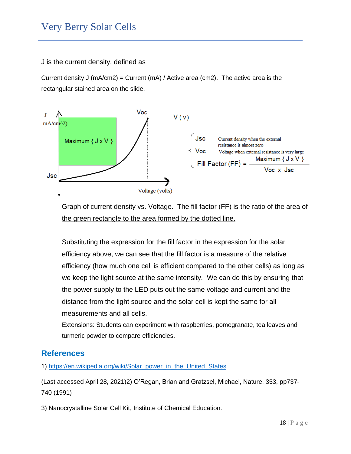J is the current density, defined as

Current density J (mA/cm2) = Current (mA) / Active area (cm2). The active area is the rectangular stained area on the slide.



Graph of current density vs. Voltage. The fill factor (FF) is the ratio of the area of the green rectangle to the area formed by the dotted line.

Substituting the expression for the fill factor in the expression for the solar efficiency above, we can see that the fill factor is a measure of the relative efficiency (how much one cell is efficient compared to the other cells) as long as we keep the light source at the same intensity. We can do this by ensuring that the power supply to the LED puts out the same voltage and current and the distance from the light source and the solar cell is kept the same for all measurements and all cells.

Extensions: Students can experiment with raspberries, pomegranate, tea leaves and turmeric powder to compare efficiencies.

### **References**

1) [https://en.wikipedia.org/wiki/Solar\\_power\\_in\\_the\\_United\\_States](https://en.wikipedia.org/wiki/Solar_power_in_the_United_States)

(Last accessed April 28, 2021)2) O'Regan, Brian and Gratzsel, Michael, Nature, 353, pp737- 740 (1991)

3) Nanocrystalline Solar Cell Kit, Institute of Chemical Education.